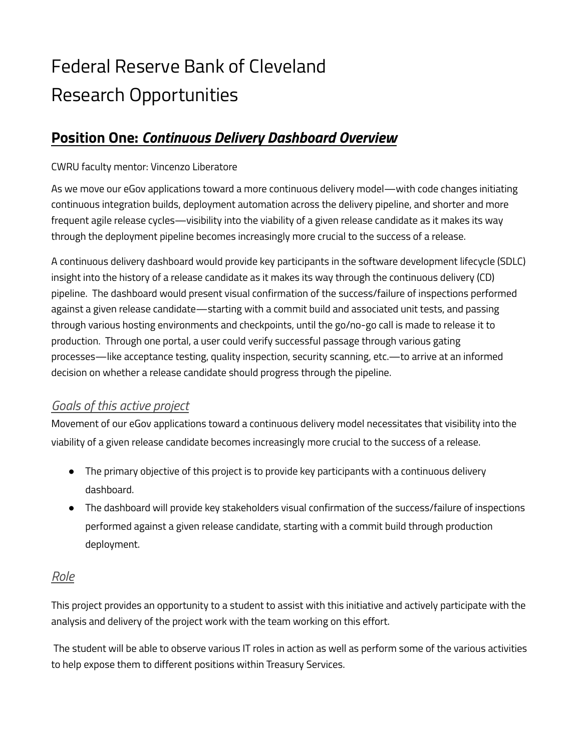# Federal Reserve Bank of Cleveland Research Opportunities

## **Position One:** *Continuous Delivery Dashboard Overview*

#### CWRU faculty mentor: Vincenzo Liberatore

As we move our eGov applications toward a more continuous delivery model—with code changes initiating continuous integration builds, deployment automation across the delivery pipeline, and shorter and more frequent agile release cycles—visibility into the viability of a given release candidate as it makes its way through the deployment pipeline becomes increasingly more crucial to the success of a release.

A continuous delivery dashboard would provide key participants in the software development lifecycle (SDLC) insight into the history of a release candidate as it makes its way through the continuous delivery (CD) pipeline. The dashboard would present visual confirmation of the success/failure of inspections performed against a given release candidate—starting with a commit build and associated unit tests, and passing through various hosting environments and checkpoints, until the go/no-go call is made to release it to production. Through one portal, a user could verify successful passage through various gating processes—like acceptance testing, quality inspection, security scanning, etc.—to arrive at an informed decision on whether a release candidate should progress through the pipeline.

### *Goals of this active project*

Movement of our eGov applications toward a continuous delivery model necessitates that visibility into the viability of a given release candidate becomes increasingly more crucial to the success of a release.

- The primary objective of this project is to provide key participants with a continuous delivery dashboard.
- The dashboard will provide key stakeholders visual confirmation of the success/failure of inspections performed against a given release candidate, starting with a commit build through production deployment.

#### *Role*

This project provides an opportunity to a student to assist with this initiative and actively participate with the analysis and delivery of the project work with the team working on this effort.

The student will be able to observe various IT roles in action as well as perform some of the various activities to help expose them to different positions within Treasury Services.